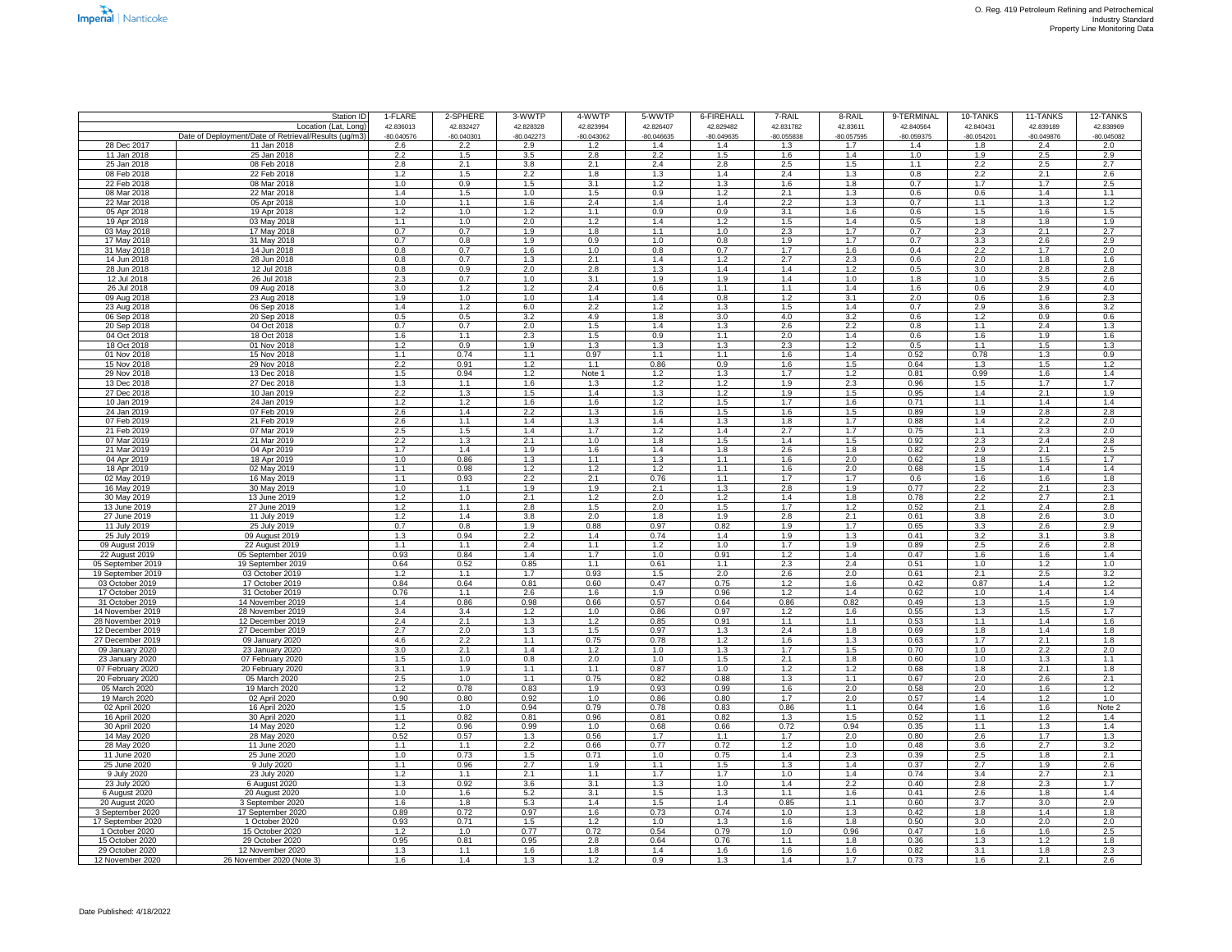|                                     | Station ID                                           | 1-FLARE                 | 2-SPHERE                | 3-WWTP                  | 4-WWTP                  | 5-WWTP                  | 6-FIREHALL              | 7-RAIL           | 8-RAIL           | 9-TERMINAL              | 10-TANKS                             | 11-TANKS                | 12-TANKS                |
|-------------------------------------|------------------------------------------------------|-------------------------|-------------------------|-------------------------|-------------------------|-------------------------|-------------------------|------------------|------------------|-------------------------|--------------------------------------|-------------------------|-------------------------|
|                                     | Location (Lat, Long)                                 | 42.836013               | 42.832427               | 42.828328               | 42.823994               | 42.826407               | 42.829482               | 42.831782        | 42.83611         | 42.840564               | 42.840431                            | 42.839189               | 42.838969               |
|                                     | Date of Deployment/Date of Retrieval/Results (ug/m3) | $-80.040576$            | $-80.040301$            | $-80.042273$            | $-80.043062$            | $-80.046635$            | $-80.049635$            | -80.055838       | $-80.057595$     | $-80.059375$            | $-80.054201$                         | $-80.049876$            | $-80.045082$            |
| 28 Dec 2017                         | 11 Jan 2018                                          | 2.6                     | 2.2                     | 2.9                     | 1.2                     | 1.4                     | 1.4                     | 1.3              | 1.7              | 1.4                     | 1.8                                  | 2.4                     | 2.0                     |
| 11 Jan 2018<br>25 Jan 2018          | 25 Jan 2018                                          | 2.2<br>$\overline{2.8}$ | 1.5<br>2.1              | 3.5<br>3.8              | 2.8                     | 2.2<br>2.4              | 1.5<br>$\overline{2.8}$ | 1.6<br>2.5       | 1.4<br>1.5       | 1.0                     | 1.9<br>2.2                           | 2.5<br>2.5              | 2.9<br>$\overline{2.7}$ |
| 08 Feb 2018                         | 08 Feb 2018<br>22 Feb 2018                           | 1.2                     | 1.5                     | 2.2                     | 2.1<br>1.8              | 1.3                     | 1.4                     | 2.4              | 1.3              | 1.1<br>0.8              | 2.2                                  | 2.1                     | $\overline{2.6}$        |
| 22 Feb 2018                         | 08 Mar 2018                                          | 1.0                     | 0.9                     | 1.5                     | 3.1                     | 1.2                     | 1.3                     | 1.6              | 1.8              | 0.7                     | 1.7                                  | 1.7                     | 2.5                     |
| 08 Mar 2018                         | 22 Mar 2018                                          | 1.4                     | 1.5                     | 1.0                     | 1.5                     | 0.9                     | 1.2                     | 2.1              | 1.3              | 0.6                     | 0.6                                  | 1.4                     | 1.1                     |
| 22 Mar 2018                         | 05 Apr 2018                                          | 1.0                     | 1.1                     | 1.6                     | 2.4                     | 1.4                     | 1.4                     | $\overline{2.2}$ | 1.3              | 0.7                     | 1.1                                  | 1.3                     | 1.2                     |
| 05 Apr 2018                         | 19 Apr 2018                                          | 1.2                     | 1.0                     | 1.2                     | 1.1                     | 0.9                     | 0.9                     | 3.1              | 1.6              | 0.6                     | 1.5                                  | 1.6                     | 1.5                     |
| 19 Apr 2018                         | 03 May 2018                                          | 1.1                     | 1.0                     | 2.0                     | 1.2                     | 1.4                     | 1.2                     | 1.5              | 1.4              | 0.5                     | 1.8                                  | 1.8                     | 1.9                     |
| 03 May 2018                         | 17 May 2018                                          | 0.7                     | 0.7                     | 1.9                     | 1.8                     | 1.1                     | 1.0                     | 2.3              | 1.7              | 0.7                     | 2.3                                  | 2.1                     | 2.7                     |
| 17 May 2018                         | 31 May 2018                                          | 0.7                     | 0.8                     | 1.9                     | 0.9                     | 1.0                     | 0.8                     | 1.9              | 1.7              | 0.7                     | 3.3                                  | 2.6                     | 2.9                     |
| 31 May 2018                         | 14 Jun 2018                                          | 0.8                     | 0.7                     | 1.6                     | 1.0                     | 0.8                     | 0.7                     | 1.7              | 1.6              | 0.4                     | 2.2                                  | 1.7                     | 2.0                     |
| 14 Jun 2018                         | 28 Jun 2018                                          | 0.8                     | 0.7                     | 1.3                     | 2.1                     | 1.4                     | 1.2                     | 2.7              | 2.3              | 0.6                     | 2.0                                  | 1.8                     | 1.6                     |
| 28 Jun 2018                         | 12 Jul 2018                                          | 0.8<br>2.3              | $\overline{0.9}$<br>0.7 | $\overline{2.0}$<br>1.0 | $\overline{2.8}$<br>3.1 | 1.3<br>1.9              | 1.4<br>1.9              | 1.4              | 1.2<br>1.0       | $\overline{0.5}$<br>1.8 | $\overline{3.0}$<br>1.0              | 2.8<br>3.5              | 2.8<br>2.6              |
| 12 Jul 2018<br>26 Jul 2018          | 26 Jul 2018<br>09 Aug 2018                           | 3.0                     | 1.2                     | $\overline{1.2}$        | 2.4                     | 0.6                     | 1.1                     | 1.4<br>1.1       | 1.4              | 1.6                     | 0.6                                  | 2.9                     | 4.0                     |
| 09 Aug 2018                         | 23 Aug 2018                                          | 1.9                     | 1.0                     | 1.0                     | 1.4                     | 1.4                     | 0.8                     | 1.2              | 3.1              | 2.0                     | 0.6                                  | 1.6                     | 2.3                     |
| 23 Aug 2018                         | 06 Sep 2018                                          | 1.4                     | 1.2                     | 6.0                     | 2.2                     | 1.2                     | 1.3                     | 1.5              | 1.4              | 0.7                     | 2.9                                  | 3.6                     | $\overline{3.2}$        |
| 06 Sep 2018                         | 20 Sep 2018                                          | 0.5                     | 0.5                     | $\overline{3.2}$        | 4.9                     | 1.8                     | 3.0                     | 4.0              | $\overline{3.2}$ | 0.6                     | 1.2                                  | 0.9                     | 0.6                     |
| 20 Sep 2018                         | 04 Oct 2018                                          | 0.7                     | 0.7                     | 2.0                     | 1.5                     | 1.4                     | 1.3                     | $\overline{2.6}$ | 2.2              | $\overline{0.8}$        | 1.1                                  | 2.4                     | 1.3                     |
| 04 Oct 2018                         | 18 Oct 2018                                          | 1.6                     | 1.1                     | 2.3                     | 1.5                     | 0.9                     | 1.1                     | 2.0              | 1.4              | 0.6                     | 1.6                                  | 1.9                     | 1.6                     |
| 18 Oct 2018                         | 01 Nov 2018                                          | 1.2                     | 0.9                     | 1.9                     | 1.3                     | 1.3                     | 1.3                     | $\overline{2.3}$ | 1.2              | 0.5                     | 1.1                                  | 1.5                     | 1.3                     |
| 01 Nov 2018                         | 15 Nov 2018                                          | 1.1                     | 0.74                    | 1.1                     | 0.97                    | 1.1                     | 1.1                     | 1.6              | 1.4              | 0.52                    | 0.78                                 | 1.3                     | 0.9                     |
| 15 Nov 2018                         | 29 Nov 2018                                          | 2.2                     | 0.91                    | 1.2                     | 1.1                     | 0.86                    | 0.9                     | 1.6              | 1.5              | 0.64                    | 1.3                                  | 1.5                     | 1.2                     |
| 29 Nov 2018                         | 13 Dec 2018                                          | 1.5                     | 0.94                    | 1.2                     | Note 1                  | 1.2                     | 1.3                     | 1.7              | 1.2              | 0.81                    | 0.99                                 | 1.6                     | 1.4                     |
| 13 Dec 2018<br>27 Dec 2018          | 27 Dec 2018<br>10 Jan 2019                           | 1.3<br>2.2              | 1.1<br>1.3              | 1.6<br>1.5              | 1.3<br>1.4              | 1.2<br>1.3              | 1.2<br>1.2              | 1.9<br>1.9       | 2.3<br>1.5       | 0.96<br>0.95            | 1.5<br>1.4                           | 1.7<br>2.1              | 1.7<br>1.9              |
| 10 Jan 2019                         | 24 Jan 2019                                          | 1.2                     | 1.2                     | 1.6                     | 1.6                     | 1.2                     | 1.5                     | 1.7              | 1.6              | 0.71                    | 1.1                                  | 1.4                     | 1.4                     |
| 24 Jan 2019                         | 07 Feb 2019                                          | 2.6                     | 1.4                     | 2.2                     | 1.3                     | 1.6                     | 1.5                     | 1.6              | 1.5              | 0.89                    | 1.9                                  | 2.8                     | 2.8                     |
| 07 Feb 2019                         | 21 Feb 2019                                          | 2.6                     | 1.1                     | 1.4                     | 1.3                     | 1.4                     | 1.3                     | 1.8              | 1.7              | 0.88                    | 1.4                                  | 2.2                     | 2.0                     |
| 21 Feb 2019                         | 07 Mar 2019                                          | 2.5                     | 1.5                     | 1.4                     | 1.7                     | 1.2                     | 1.4                     | 2.7              | 1.7              | 0.75                    | 1.1                                  | 2.3                     | 2.0                     |
| 07 Mar 2019                         | 21 Mar 2019                                          | $\overline{2.2}$        | 1.3                     | 2.1                     | 1.0                     | 1.8                     | 1.5                     | 1.4              | 1.5              | 0.92                    | 2.3                                  | 2.4                     | 2.8                     |
| 21 Mar 2019                         | 04 Apr 2019                                          | 1.7                     | 1.4                     | 1.9                     | 1.6                     | 1.4                     | 1.8                     | 2.6              | 1.8              | 0.82                    | 2.9                                  | 2.1                     | 2.5                     |
| 04 Apr 2019                         | 18 Apr 2019                                          | 1.0                     | 0.86                    | 1.3                     | 1.1                     | 1.3                     | 1.1                     | 1.6              | 2.0              | 0.62                    | 1.8                                  | 1.5                     | 1.7                     |
| 18 Apr 2019                         | 02 May 2019                                          | 1.1                     | 0.98                    | 1.2                     | 1.2                     | 1.2                     | 1.1                     | 1.6              | 2.0              | 0.68                    | 1.5                                  | 1.4                     | 1.4                     |
| 02 May 2019                         | 16 May 2019                                          | 1.1                     | 0.93                    | $\overline{2.2}$        | 2.1                     | 0.76                    | 1.1                     | 1.7              | 1.7              | 0.6                     | 1.6                                  | 1.6                     | 1.8                     |
| 16 May 2019                         | 30 May 2019                                          | 1.0                     | 1.1                     | 1.9                     | 1.9                     | 2.1                     | 1.3                     | $\overline{2.8}$ | 1.9              | 0.77                    | $\overline{2.2}$<br>$\overline{2.2}$ | 2.1<br>$\overline{2.7}$ | 2.3                     |
| 30 May 2019<br>13 June 2019         | 13 June 2019<br>27 June 2019                         | 1.2<br>1.2              | 1.0<br>1.1              | 2.1<br>2.8              | 1.2<br>1.5              | $\overline{2.0}$<br>2.0 | 1.2<br>1.5              | 1.4<br>1.7       | 1.8<br>1.2       | 0.78<br>0.52            | 2.1                                  | 2.4                     | 2.1<br>2.8              |
| 27 June 2019                        | 11 July 2019                                         | 1.2                     | 1.4                     | 3.8                     | 2.0                     | 1.8                     | 1.9                     | 2.8              | 2.1              | 0.61                    | 3.8                                  | 2.6                     | 3.0                     |
| 11 July 2019                        | 25 July 2019                                         | 0.7                     | 0.8                     | 1.9                     | 0.88                    | 0.97                    | 0.82                    | 1.9              | 1.7              | 0.65                    | 3.3                                  | 2.6                     | 2.9                     |
| 25 July 2019                        | 09 August 2019                                       | 1.3                     | 0.94                    | 2.2                     | 1.4                     | 0.74                    | 1.4                     | 1.9              | 1.3              | 0.41                    | 3.2                                  | 3.1                     | 3.8                     |
| 09 August 2019                      | 22 August 2019                                       | 1.1                     | 1.1                     | 2.4                     | 1.1                     | 1.2                     | 1.0                     | 1.7              | 1.9              | 0.89                    | 2.5                                  | 2.6                     | 2.8                     |
| 22 August 2019                      | 05 September 2019                                    | 0.93                    | 0.84                    | 1.4                     | 1.7                     | 1.0                     | 0.91                    | 1.2              | 1.4              | 0.47                    | 1.6                                  | 1.6                     | 1.4                     |
| 05 September 2019                   | 19 September 2019                                    | 0.64                    | 0.52                    | 0.85                    | 1.1                     | 0.61                    | 1.1                     | $\overline{2.3}$ | 2.4              | 0.51                    | 1.0                                  | 1.2                     | 1.0                     |
| 19 September 2019                   | 03 October 2019                                      | 1.2                     | 1.1                     | 1.7                     | 0.93                    | 1.5                     | 2.0                     | 2.6              | 2.0              | 0.61                    | 2.1                                  | 2.5                     | 3.2                     |
| 03 October 2019                     | 17 October 2019                                      | 0.84                    | 0.64                    | 0.81                    | 0.60                    | 0.47                    | 0.75                    | 1.2              | 1.6              | 0.42                    | 0.87                                 | 1.4                     | 1.2                     |
| 17 October 2019                     | 31 October 2019                                      | 0.76                    | 1.1                     | 2.6                     | 1.6                     | 1.9                     | 0.96                    | 1.2              | 1.4              | 0.62                    | 1.0                                  | 1.4                     | 1.4                     |
| 31 October 2019<br>14 November 2019 | 14 November 2019                                     | 1.4<br>3.4              | 0.86<br>3.4             | 0.98<br>1.2             | 0.66<br>1.0             | 0.57<br>0.86            | 0.64<br>0.97            | 0.86<br>1.2      | 0.82<br>1.6      | 0.49<br>0.55            | 1.3<br>1.3                           | 1.5<br>1.5              | 1.9<br>1.7              |
| 28 November 2019                    | 28 November 2019<br>12 December 2019                 | 2.4                     | 2.1                     | 1.3                     | 1.2                     | 0.85                    | 0.91                    | 1.1              | 1.1              | 0.53                    | 1.1                                  | 1.4                     | 1.6                     |
| 12 December 2019                    | 27 December 2019                                     | 2.7                     | 2.0                     | 1.3                     | 1.5                     | 0.97                    | 1.3                     | 2.4              | 1.8              | 0.69                    | 1.8                                  | 1.4                     | 1.8                     |
| 27 December 2019                    | 09 January 2020                                      | 4.6                     | $\overline{2.2}$        | 1.1                     | 0.75                    | 0.78                    | 1.2                     | 1.6              | 1.3              | 0.63                    | 1.7                                  | 2.1                     | 1.8                     |
| 09 January 2020                     | 23 January 2020                                      | 3.0                     | 2.1                     | 1.4                     | 1.2                     | 1.0                     | 1.3                     | 1.7              | 1.5              | 0.70                    | 1.0                                  | 2.2                     | 2.0                     |
| 23 January 2020                     | 07 February 2020                                     | 1.5                     | 1.0                     | 0.8                     | 2.0                     | 1.0                     | 1.5                     | 2.1              | 1.8              | 0.60                    | 1.0                                  | 1.3                     | 1.1                     |
| 07 February 2020                    | 20 February 2020                                     | 3.1                     | 1.9                     | 1.1                     | 1.1                     | 0.87                    | 1.0                     | 1.2              | 1.2              | 0.68                    | 1.8                                  | 2.1                     | 1.8                     |
| 20 February 2020                    | 05 March 2020                                        | 2.5                     | 1.0                     | 1.1                     | 0.75                    | 0.82                    | 0.88                    | 1.3              | 1.1              | 0.67                    | 2.0                                  | 2.6                     | 2.1                     |
| 05 March 2020                       | 19 March 2020                                        | 1.2                     | 0.78                    | 0.83                    | 1.9                     | 0.93                    | 0.99                    | 1.6              | 2.0              | 0.58                    | 2.0                                  | 1.6                     | 1.2                     |
| 19 March 2020                       | 02 April 2020                                        | 0.90                    | 0.80                    | 0.92                    | 1.0                     | 0.86                    | 0.80                    | 1.7              | 2.0              | 0.57                    | 1.4                                  | 1.2                     | 1.0                     |
| 02 April 2020                       | 16 April 2020                                        | 1.5                     | 1.0                     | 0.94                    | 0.79                    | 0.78                    | 0.83                    | 0.86             | 1.1              | 0.64                    | 1.6                                  | 1.6                     | Note 2                  |
| 16 April 2020                       | 30 April 2020                                        | 1.1                     | 0.82                    | 0.81                    | 0.96                    | 0.81<br>0.68            | 0.82<br>0.66            | 1.3<br>0.72      | 1.5<br>0.94      | 0.52                    | 1.1<br>1.1                           | 1.2                     | 1.4<br>1.4              |
| 30 April 2020<br>14 May 2020        | 14 May 2020<br>28 May 2020                           | 1.2<br>0.52             | 0.96<br>0.57            | 0.99<br>1.3             | 1.0<br>0.56             | 1.7                     | 1.1                     | 1.7              | 2.0              | 0.35<br>0.80            | 2.6                                  | 1.3<br>1.7              | 1.3                     |
| 28 May 2020                         | 11 June 2020                                         | 1.1                     | 1.1                     | 2.2                     | 0.66                    | 0.77                    | 0.72                    | 1.2              | 1.0              | 0.48                    | 3.6                                  | 2.7                     | 3.2                     |
| 11 June 2020                        | 25 June 2020                                         | 1.0                     | 0.73                    | 1.5                     | 0.71                    | 1.0                     | 0.75                    | 1.4              | 2.3              | 0.39                    | 2.5                                  | 1.8                     | 2.1                     |
| 25 June 2020                        | 9 July 2020                                          | 1.1                     | 0.96                    | 2.7                     | 1.9                     | 1.1                     | 1.5                     | 1.3              | 1.4              | 0.37                    | 2.7                                  | 1.9                     | 2.6                     |
| 9 July 2020                         | 23 July 2020                                         | 1.2                     | 1.1                     | 2.1                     | 1.1                     | 1.7                     | 1.7                     | 1.0              | 1.4              | 0.74                    | 3.4                                  | 2.7                     | 2.1                     |
| 23 July 2020                        | 6 August 2020                                        | 1.3                     | 0.92                    | 3.6                     | 3.1                     | 1.3                     | 1.0                     | 1.4              | 2.2              | 0.40                    | 2.8                                  | 2.3                     | 1.7                     |
| 6 August 2020                       | 20 August 2020                                       | 1.0                     | 1.6                     | 5.2                     | 3.1                     | 1.5                     | 1.3                     | 1.1              | 1.6              | 0.41                    | 2.6                                  | 1.8                     | 1.4                     |
| 20 August 2020                      | 3 September 2020                                     | 1.6                     | 1.8                     | 5.3                     | 1.4                     | 1.5                     | 1.4                     | 0.85             | 1.1              | 0.60                    | 3.7                                  | 3.0                     | 2.9                     |
| 3 September 2020                    | 17 September 2020                                    | 0.89                    | 0.72                    | 0.97                    | 1.6                     | 0.73                    | 0.74                    | 1.0              | 1.3              | 0.42                    | 1.8                                  | 1.4                     | 1.8                     |
| 17 September 2020                   | 1 October 2020                                       | 0.93                    | 0.71                    | 1.5                     | 1.2                     | 1.0                     | 1.3                     | 1.6              | 1.8              | 0.50                    | 3.0                                  | 2.0                     | 2.0                     |
| 1 October 2020<br>15 October 2020   | 15 October 2020                                      | 1.2                     | 1.0                     | 0.77                    | 0.72                    | 0.54                    | 0.79                    | 1.0              | 0.96             | 0.47                    | 1.6                                  | 1.6                     | 2.5                     |
| 29 October 2020                     | 29 October 2020<br>12 November 2020                  | 0.95<br>1.3             | 0.81<br>1.1             | 0.95<br>1.6             | 2.8<br>1.8              | 0.64<br>1.4             | 0.76<br>1.6             | 1.1<br>1.6       | 1.8<br>1.6       | 0.36<br>0.82            | 1.3<br>3.1                           | 1.2<br>1.8              | 1.8<br>2.3              |
| 12 November 2020                    | 26 November 2020 (Note 3)                            | 1.6                     | 1.4                     | 1.3                     | 1.2                     | 0.9                     | 1.3                     | 1.4              | 1.7              | 0.73                    | 1.6                                  | 2.1                     | 2.6                     |
|                                     |                                                      |                         |                         |                         |                         |                         |                         |                  |                  |                         |                                      |                         |                         |